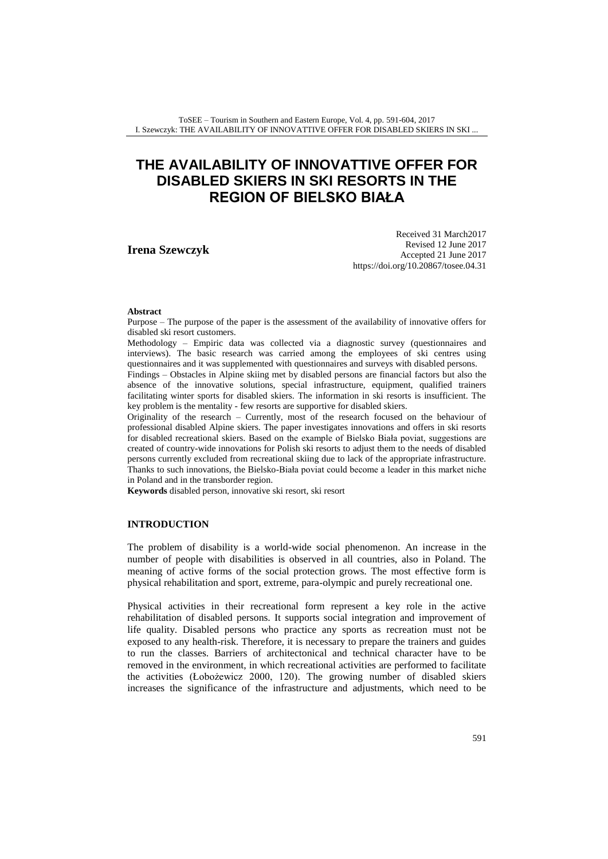ToSEE – Tourism in Southern and Eastern Europe, Vol. 4, pp. 591-604, 2017 I. Szewczyk: THE AVAILABILITY OF INNOVATTIVE OFFER FOR DISABLED SKIERS IN SKI ...

# **THE AVAILABILITY OF INNOVATTIVE OFFER FOR DISABLED SKIERS IN SKI RESORTS IN THE REGION OF BIELSKO BIAŁA**

**Irena Szewczyk**

Received 31 March2017 Revised 12 June 2017 Accepted 21 June 2017 <https://doi.org/10.20867/tosee.04.31>

#### **Abstract**

Purpose – The purpose of the paper is the assessment of the availability of innovative offers for disabled ski resort customers.

Methodology – Empiric data was collected via a diagnostic survey (questionnaires and interviews). The basic research was carried among the employees of ski centres using questionnaires and it was supplemented with questionnaires and surveys with disabled persons. Findings – Obstacles in Alpine skiing met by disabled persons are financial factors but also the

absence of the innovative solutions, special infrastructure, equipment, qualified trainers facilitating winter sports for disabled skiers. The information in ski resorts is insufficient. The key problem is the mentality - few resorts are supportive for disabled skiers.

Originality of the research – Currently, most of the research focused on the behaviour of professional disabled Alpine skiers. The paper investigates innovations and offers in ski resorts for disabled recreational skiers. Based on the example of Bielsko Biała poviat, suggestions are created of country-wide innovations for Polish ski resorts to adjust them to the needs of disabled persons currently excluded from recreational skiing due to lack of the appropriate infrastructure. Thanks to such innovations, the Bielsko-Biała poviat could become a leader in this market niche in Poland and in the transborder region.

**Keywords** disabled person, innovative ski resort, ski resort

## **INTRODUCTION**

The problem of disability is a world-wide social phenomenon. An increase in the number of people with disabilities is observed in all countries, also in Poland. The meaning of active forms of the social protection grows. The most effective form is physical rehabilitation and sport, extreme, para-olympic and purely recreational one.

Physical activities in their recreational form represent a key role in the active rehabilitation of disabled persons. It supports social integration and improvement of life quality. Disabled persons who practice any sports as recreation must not be exposed to any health-risk. Therefore, it is necessary to prepare the trainers and guides to run the classes. Barriers of architectonical and technical character have to be removed in the environment, in which recreational activities are performed to facilitate the activities (Łobożewicz 2000, 120). The growing number of disabled skiers increases the significance of the infrastructure and adjustments, which need to be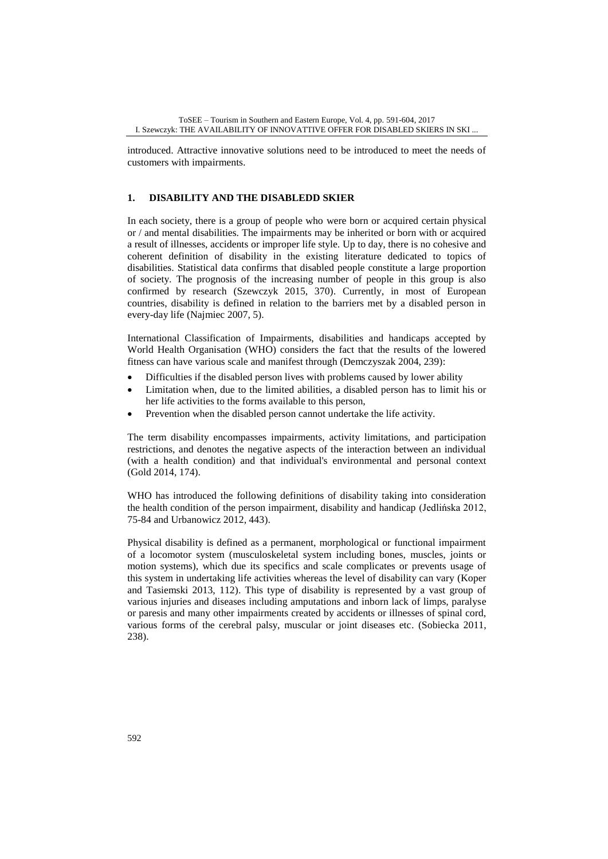introduced. Attractive innovative solutions need to be introduced to meet the needs of customers with impairments.

## **1. DISABILITY AND THE DISABLEDD SKIER**

In each society, there is a group of people who were born or acquired certain physical or / and mental disabilities. The impairments may be inherited or born with or acquired a result of illnesses, accidents or improper life style. Up to day, there is no cohesive and coherent definition of disability in the existing literature dedicated to topics of disabilities. Statistical data confirms that disabled people constitute a large proportion of society. The prognosis of the increasing number of people in this group is also confirmed by research (Szewczyk 2015, 370). Currently, in most of European countries, disability is defined in relation to the barriers met by a disabled person in every-day life (Najmiec 2007, 5).

International Classification of Impairments, disabilities and handicaps accepted by World Health Organisation (WHO) considers the fact that the results of the lowered fitness can have various scale and manifest through (Demczyszak 2004, 239):

- Difficulties if the disabled person lives with problems caused by lower ability
- Limitation when, due to the limited abilities, a disabled person has to limit his or her life activities to the forms available to this person,
- Prevention when the disabled person cannot undertake the life activity.

The term disability encompasses impairments, activity limitations, and participation restrictions, and denotes the negative aspects of the interaction between an individual (with a health condition) and that individual's environmental and personal context (Gold 2014, 174).

WHO has introduced the following definitions of disability taking into consideration the health condition of the person impairment, disability and handicap (Jedlińska 2012, 75-84 and Urbanowicz 2012, 443).

Physical disability is defined as a permanent, morphological or functional impairment of a locomotor system (musculoskeletal system including bones, muscles, joints or motion systems), which due its specifics and scale complicates or prevents usage of this system in undertaking life activities whereas the level of disability can vary (Koper and Tasiemski 2013, 112). This type of disability is represented by a vast group of various injuries and diseases including amputations and inborn lack of limps, paralyse or paresis and many other impairments created by accidents or illnesses of spinal cord, various forms of the cerebral palsy, muscular or joint diseases etc. (Sobiecka 2011, 238).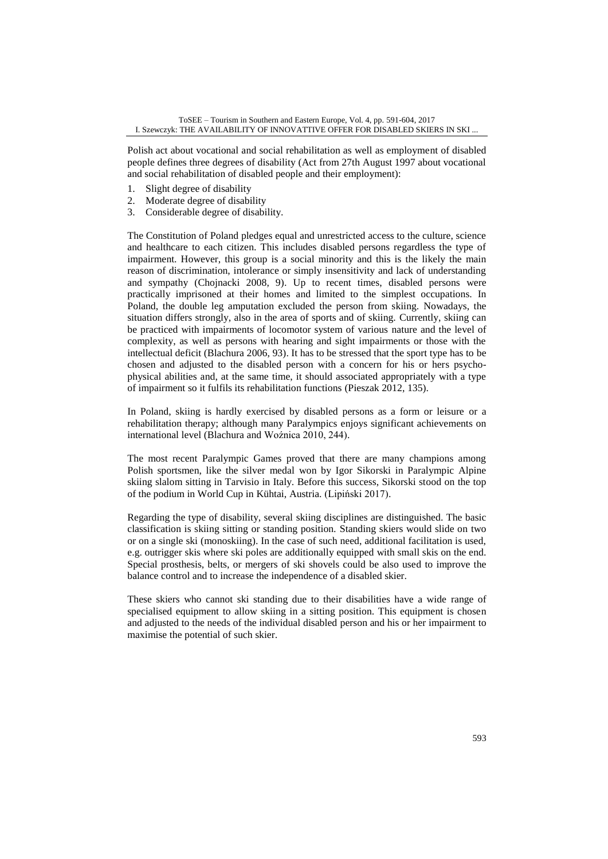Polish act about vocational and social rehabilitation as well as employment of disabled people defines three degrees of disability (Act from 27th August 1997 about vocational and social rehabilitation of disabled people and their employment):

- 1. Slight degree of disability
- 2. Moderate degree of disability
- 3. Considerable degree of disability.

The Constitution of Poland pledges equal and unrestricted access to the culture, science and healthcare to each citizen. This includes disabled persons regardless the type of impairment. However, this group is a social minority and this is the likely the main reason of discrimination, intolerance or simply insensitivity and lack of understanding and sympathy (Chojnacki 2008, 9). Up to recent times, disabled persons were practically imprisoned at their homes and limited to the simplest occupations. In Poland, the double leg amputation excluded the person from skiing. Nowadays, the situation differs strongly, also in the area of sports and of skiing. Currently, skiing can be practiced with impairments of locomotor system of various nature and the level of complexity, as well as persons with hearing and sight impairments or those with the intellectual deficit (Blachura 2006, 93). It has to be stressed that the sport type has to be chosen and adjusted to the disabled person with a concern for his or hers psychophysical abilities and, at the same time, it should associated appropriately with a type of impairment so it fulfils its rehabilitation functions (Pieszak 2012, 135).

In Poland, skiing is hardly exercised by disabled persons as a form or leisure or a rehabilitation therapy; although many Paralympics enjoys significant achievements on international level (Blachura and Woźnica 2010, 244).

The most recent Paralympic Games proved that there are many champions among Polish sportsmen, like the silver medal won by Igor Sikorski in Paralympic Alpine skiing slalom sitting in Tarvisio in Italy. Before this success, Sikorski stood on the top of the podium in World Cup in Kühtai, Austria. (Lipiński 2017).

Regarding the type of disability, several skiing disciplines are distinguished. The basic classification is skiing sitting or standing position. Standing skiers would slide on two or on a single ski (monoskiing). In the case of such need, additional facilitation is used, e.g. outrigger skis where ski poles are additionally equipped with small skis on the end. Special prosthesis, belts, or mergers of ski shovels could be also used to improve the balance control and to increase the independence of a disabled skier.

These skiers who cannot ski standing due to their disabilities have a wide range of specialised equipment to allow skiing in a sitting position. This equipment is chosen and adjusted to the needs of the individual disabled person and his or her impairment to maximise the potential of such skier.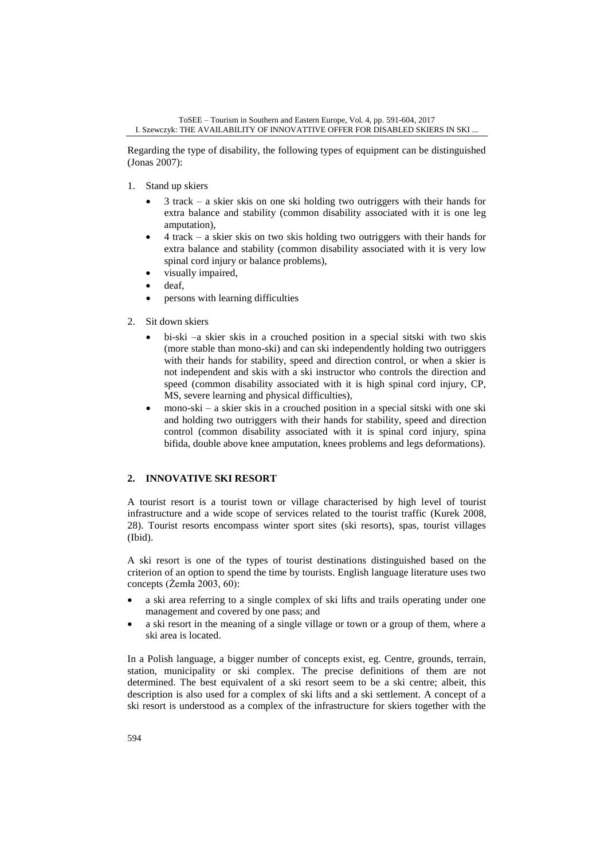Regarding the type of disability, the following types of equipment can be distinguished (Jonas 2007):

- 1. Stand up skiers
	- $\bullet$  3 track a skier skis on one ski holding two outriggers with their hands for extra balance and stability (common disability associated with it is one leg amputation),
	- 4 track a skier skis on two skis holding two outriggers with their hands for extra balance and stability (common disability associated with it is very low spinal cord injury or balance problems),
	- visually impaired,
	- deaf,
	- persons with learning difficulties
- 2. Sit down skiers
	- bi-ski –a skier skis in a crouched position in a special sitski with two skis (more stable than mono-ski) and can ski independently holding two outriggers with their hands for stability, speed and direction control, or when a skier is not independent and skis with a ski instructor who controls the direction and speed (common disability associated with it is high spinal cord injury, CP, MS, severe learning and physical difficulties),
	- mono-ski a skier skis in a crouched position in a special sitski with one ski and holding two outriggers with their hands for stability, speed and direction control (common disability associated with it is spinal cord injury, spina bifida, double above knee amputation, knees problems and legs deformations).

## **2. INNOVATIVE SKI RESORT**

A tourist resort is a tourist town or village characterised by high level of tourist infrastructure and a wide scope of services related to the tourist traffic (Kurek 2008, 28). Tourist resorts encompass winter sport sites (ski resorts), spas, tourist villages (Ibid).

A ski resort is one of the types of tourist destinations distinguished based on the criterion of an option to spend the time by tourists. English language literature uses two concepts (Żemła 2003, 60):

- a ski area referring to a single complex of ski lifts and trails operating under one management and covered by one pass; and
- a ski resort in the meaning of a single village or town or a group of them, where a ski area is located.

In a Polish language, a bigger number of concepts exist, eg. Centre, grounds, terrain, station, municipality or ski complex. The precise definitions of them are not determined. The best equivalent of a ski resort seem to be a ski centre; albeit, this description is also used for a complex of ski lifts and a ski settlement. A concept of a ski resort is understood as a complex of the infrastructure for skiers together with the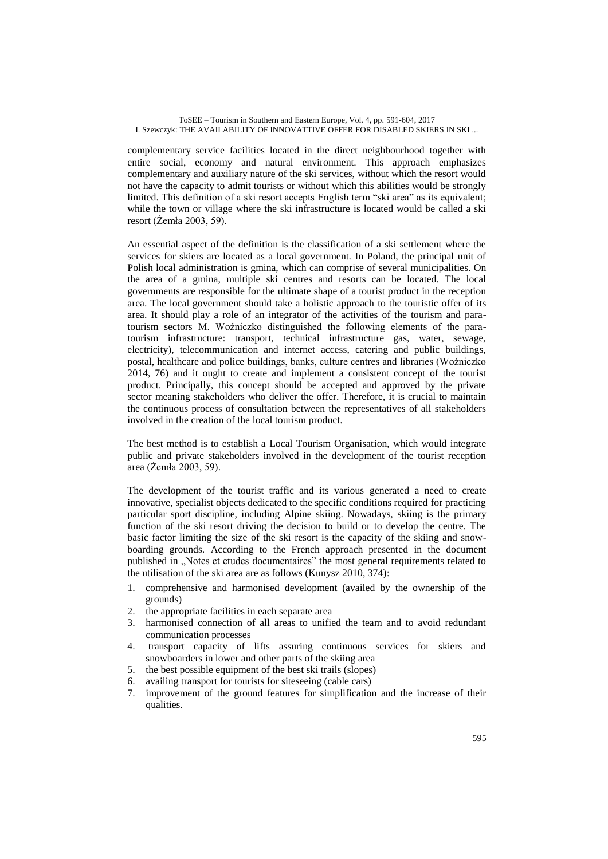complementary service facilities located in the direct neighbourhood together with entire social, economy and natural environment. This approach emphasizes complementary and auxiliary nature of the ski services, without which the resort would not have the capacity to admit tourists or without which this abilities would be strongly limited. This definition of a ski resort accepts English term "ski area" as its equivalent; while the town or village where the ski infrastructure is located would be called a ski resort (Żemła 2003, 59).

An essential aspect of the definition is the classification of a ski settlement where the services for skiers are located as a local government. In Poland, the principal unit of Polish local administration is gmina, which can comprise of several municipalities. On the area of a gmina, multiple ski centres and resorts can be located. The local governments are responsible for the ultimate shape of a tourist product in the reception area. The local government should take a holistic approach to the touristic offer of its area. It should play a role of an integrator of the activities of the tourism and paratourism sectors M. Woźniczko distinguished the following elements of the paratourism infrastructure: transport, technical infrastructure gas, water, sewage, electricity), telecommunication and internet access, catering and public buildings, postal, healthcare and police buildings, banks, culture centres and libraries (Woźniczko 2014, 76) and it ought to create and implement a consistent concept of the tourist product. Principally, this concept should be accepted and approved by the private sector meaning stakeholders who deliver the offer. Therefore, it is crucial to maintain the continuous process of consultation between the representatives of all stakeholders involved in the creation of the local tourism product.

The best method is to establish a Local Tourism Organisation, which would integrate public and private stakeholders involved in the development of the tourist reception area (Żemła 2003, 59).

The development of the tourist traffic and its various generated a need to create innovative, specialist objects dedicated to the specific conditions required for practicing particular sport discipline, including Alpine skiing. Nowadays, skiing is the primary function of the ski resort driving the decision to build or to develop the centre. The basic factor limiting the size of the ski resort is the capacity of the skiing and snowboarding grounds. According to the French approach presented in the document published in "Notes et etudes documentaires" the most general requirements related to the utilisation of the ski area are as follows (Kunysz 2010, 374):

- 1. comprehensive and harmonised development (availed by the ownership of the grounds)
- 2. the appropriate facilities in each separate area
- 3. harmonised connection of all areas to unified the team and to avoid redundant communication processes
- 4. transport capacity of lifts assuring continuous services for skiers and snowboarders in lower and other parts of the skiing area
- 5. the best possible equipment of the best ski trails (slopes)
- 6. availing transport for tourists for siteseeing (cable cars)
- 7. improvement of the ground features for simplification and the increase of their qualities.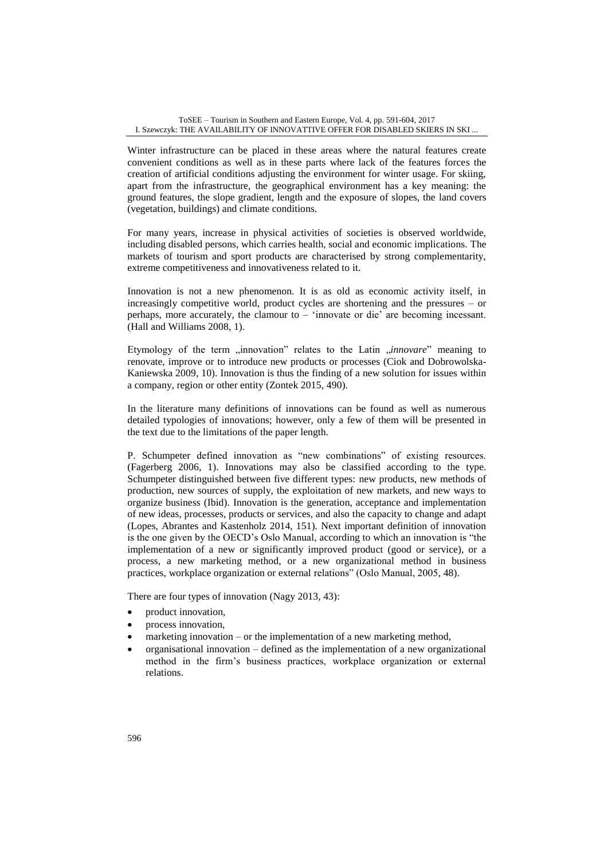Winter infrastructure can be placed in these areas where the natural features create convenient conditions as well as in these parts where lack of the features forces the creation of artificial conditions adjusting the environment for winter usage. For skiing, apart from the infrastructure, the geographical environment has a key meaning: the ground features, the slope gradient, length and the exposure of slopes, the land covers (vegetation, buildings) and climate conditions.

For many years, increase in physical activities of societies is observed worldwide, including disabled persons, which carries health, social and economic implications. The markets of tourism and sport products are characterised by strong complementarity, extreme competitiveness and innovativeness related to it.

Innovation is not a new phenomenon. It is as old as economic activity itself, in increasingly competitive world, product cycles are shortening and the pressures – or perhaps, more accurately, the clamour to – 'innovate or die' are becoming incessant. (Hall and Williams 2008, 1).

Etymology of the term "innovation" relates to the Latin "innovare" meaning to renovate, improve or to introduce new products or processes (Ciok and Dobrowolska-Kaniewska 2009, 10). Innovation is thus the finding of a new solution for issues within a company, region or other entity (Zontek 2015, 490).

In the literature many definitions of innovations can be found as well as numerous detailed typologies of innovations; however, only a few of them will be presented in the text due to the limitations of the paper length.

P. Schumpeter defined innovation as "new combinations" of existing resources. (Fagerberg 2006, 1). Innovations may also be classified according to the type. Schumpeter distinguished between five different types: new products, new methods of production, new sources of supply, the exploitation of new markets, and new ways to organize business (Ibid). Innovation is the generation, acceptance and implementation of new ideas, processes, products or services, and also the capacity to change and adapt (Lopes, Abrantes and Kastenholz 2014, 151). Next important definition of innovation is the one given by the OECD's Oslo Manual, according to which an innovation is "the implementation of a new or significantly improved product (good or service), or a process, a new marketing method, or a new organizational method in business practices, workplace organization or external relations" (Oslo Manual, 2005, 48).

There are four types of innovation (Nagy 2013, 43):

- product innovation,
- process innovation,
- marketing innovation or the implementation of a new marketing method,
- organisational innovation defined as the implementation of a new organizational method in the firm's business practices, workplace organization or external relations.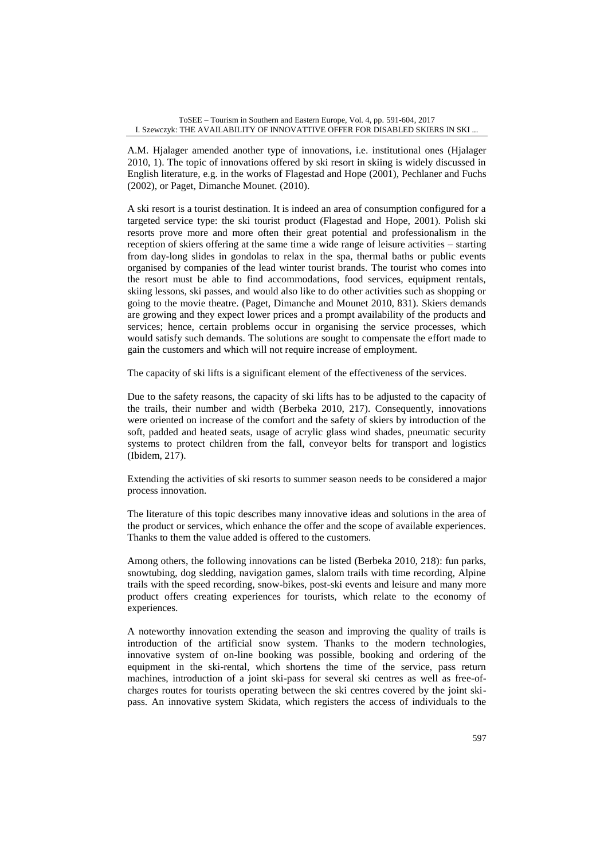A.M. Hjalager amended another type of innovations, i.e. institutional ones (Hjalager 2010, 1). The topic of innovations offered by ski resort in skiing is widely discussed in English literature, e.g. in the works of Flagestad and Hope (2001), Pechlaner and Fuchs (2002), or Paget, Dimanche Mounet. (2010).

A ski resort is a tourist destination. It is indeed an area of consumption configured for a targeted service type: the ski tourist product (Flagestad and Hope, 2001). Polish ski resorts prove more and more often their great potential and professionalism in the reception of skiers offering at the same time a wide range of leisure activities – starting from day-long slides in gondolas to relax in the spa, thermal baths or public events organised by companies of the lead winter tourist brands. The tourist who comes into the resort must be able to find accommodations, food services, equipment rentals, skiing lessons, ski passes, and would also like to do other activities such as shopping or going to the movie theatre. (Paget, Dimanche and Mounet 2010, 831). Skiers demands are growing and they expect lower prices and a prompt availability of the products and services; hence, certain problems occur in organising the service processes, which would satisfy such demands. The solutions are sought to compensate the effort made to gain the customers and which will not require increase of employment.

The capacity of ski lifts is a significant element of the effectiveness of the services.

Due to the safety reasons, the capacity of ski lifts has to be adjusted to the capacity of the trails, their number and width (Berbeka 2010, 217). Consequently, innovations were oriented on increase of the comfort and the safety of skiers by introduction of the soft, padded and heated seats, usage of acrylic glass wind shades, pneumatic security systems to protect children from the fall, conveyor belts for transport and logistics (Ibidem, 217).

Extending the activities of ski resorts to summer season needs to be considered a major process innovation.

The literature of this topic describes many innovative ideas and solutions in the area of the product or services, which enhance the offer and the scope of available experiences. Thanks to them the value added is offered to the customers.

Among others, the following innovations can be listed (Berbeka 2010, 218): fun parks, snowtubing, dog sledding, navigation games, slalom trails with time recording, Alpine trails with the speed recording, snow-bikes, post-ski events and leisure and many more product offers creating experiences for tourists, which relate to the economy of experiences.

A noteworthy innovation extending the season and improving the quality of trails is introduction of the artificial snow system. Thanks to the modern technologies, innovative system of on-line booking was possible, booking and ordering of the equipment in the ski-rental, which shortens the time of the service, pass return machines, introduction of a joint ski-pass for several ski centres as well as free-ofcharges routes for tourists operating between the ski centres covered by the joint skipass. An innovative system Skidata, which registers the access of individuals to the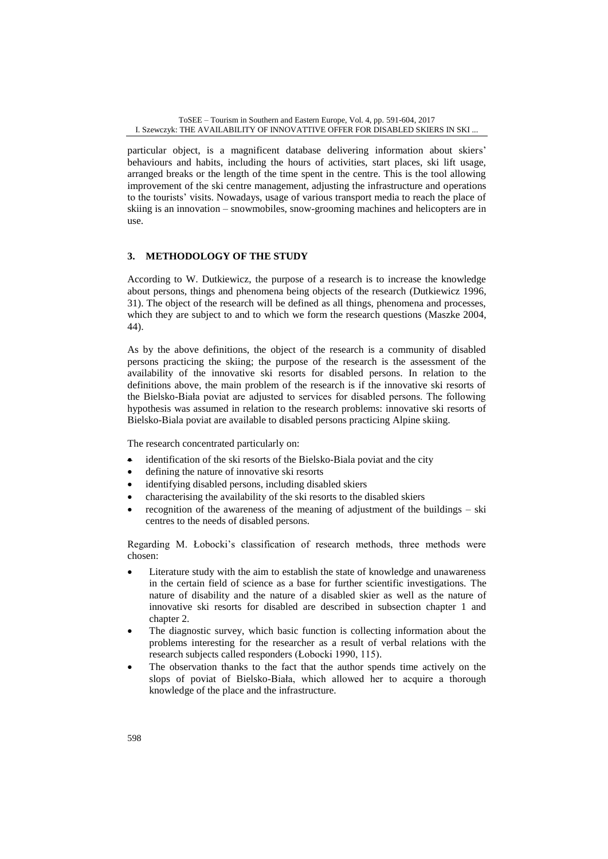particular object, is a magnificent database delivering information about skiers' behaviours and habits, including the hours of activities, start places, ski lift usage, arranged breaks or the length of the time spent in the centre. This is the tool allowing improvement of the ski centre management, adjusting the infrastructure and operations to the tourists' visits. Nowadays, usage of various transport media to reach the place of skiing is an innovation – snowmobiles, snow-grooming machines and helicopters are in use.

## **3. METHODOLOGY OF THE STUDY**

According to W. Dutkiewicz, the purpose of a research is to increase the knowledge about persons, things and phenomena being objects of the research (Dutkiewicz 1996, 31). The object of the research will be defined as all things, phenomena and processes, which they are subject to and to which we form the research questions (Maszke 2004, 44).

As by the above definitions, the object of the research is a community of disabled persons practicing the skiing; the purpose of the research is the assessment of the availability of the innovative ski resorts for disabled persons. In relation to the definitions above, the main problem of the research is if the innovative ski resorts of the Bielsko-Biała poviat are adjusted to services for disabled persons. The following hypothesis was assumed in relation to the research problems: innovative ski resorts of Bielsko-Biala poviat are available to disabled persons practicing Alpine skiing.

The research concentrated particularly on:

- identification of the ski resorts of the Bielsko-Biala poviat and the city
- defining the nature of innovative ski resorts
- identifying disabled persons, including disabled skiers
- characterising the availability of the ski resorts to the disabled skiers
- recognition of the awareness of the meaning of adjustment of the buildings ski centres to the needs of disabled persons.

Regarding M. Łobocki's classification of research methods, three methods were chosen:

- Literature study with the aim to establish the state of knowledge and unawareness in the certain field of science as a base for further scientific investigations. The nature of disability and the nature of a disabled skier as well as the nature of innovative ski resorts for disabled are described in subsection chapter 1 and chapter 2.
- The diagnostic survey, which basic function is collecting information about the problems interesting for the researcher as a result of verbal relations with the research subjects called responders (Łobocki 1990, 115).
- The observation thanks to the fact that the author spends time actively on the slops of poviat of Bielsko-Biała, which allowed her to acquire a thorough knowledge of the place and the infrastructure.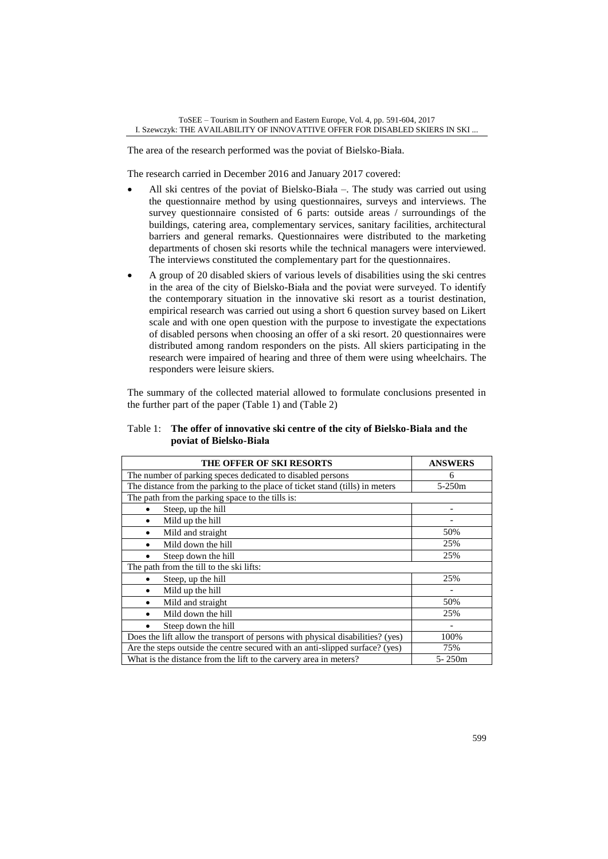The area of the research performed was the poviat of Bielsko-Biała.

The research carried in December 2016 and January 2017 covered:

- All ski centres of the poviat of Bielsko-Biała –. The study was carried out using the questionnaire method by using questionnaires, surveys and interviews. The survey questionnaire consisted of 6 parts: outside areas / surroundings of the buildings, catering area, complementary services, sanitary facilities, architectural barriers and general remarks. Questionnaires were distributed to the marketing departments of chosen ski resorts while the technical managers were interviewed. The interviews constituted the complementary part for the questionnaires.
- A group of 20 disabled skiers of various levels of disabilities using the ski centres in the area of the city of Bielsko-Biała and the poviat were surveyed. To identify the contemporary situation in the innovative ski resort as a tourist destination, empirical research was carried out using a short 6 question survey based on Likert scale and with one open question with the purpose to investigate the expectations of disabled persons when choosing an offer of a ski resort. 20 questionnaires were distributed among random responders on the pists. All skiers participating in the research were impaired of hearing and three of them were using wheelchairs. The responders were leisure skiers.

The summary of the collected material allowed to formulate conclusions presented in the further part of the paper (Table 1) and (Table 2)

| Table 1: The offer of innovative ski centre of the city of Bielsko-Biała and the |
|----------------------------------------------------------------------------------|
| poviat of Bielsko-Biała                                                          |

| <b>THE OFFER OF SKI RESORTS</b>                                                | <b>ANSWERS</b>           |  |  |  |  |
|--------------------------------------------------------------------------------|--------------------------|--|--|--|--|
| The number of parking speces dedicated to disabled persons                     | 6                        |  |  |  |  |
| The distance from the parking to the place of ticket stand (tills) in meters   | $5 - 250m$               |  |  |  |  |
| The path from the parking space to the tills is:                               |                          |  |  |  |  |
| Steep, up the hill                                                             |                          |  |  |  |  |
| Mild up the hill<br>$\bullet$                                                  |                          |  |  |  |  |
| Mild and straight<br>٠                                                         | 50%                      |  |  |  |  |
| Mild down the hill                                                             | 25%                      |  |  |  |  |
| Steep down the hill<br>$\bullet$                                               | 25%                      |  |  |  |  |
| The path from the till to the ski lifts:                                       |                          |  |  |  |  |
| Steep, up the hill                                                             | 25%                      |  |  |  |  |
| Mild up the hill<br>$\bullet$                                                  | $\overline{\phantom{a}}$ |  |  |  |  |
| Mild and straight<br>$\bullet$                                                 | 50%                      |  |  |  |  |
| Mild down the hill                                                             | 25%                      |  |  |  |  |
| Steep down the hill                                                            |                          |  |  |  |  |
| Does the lift allow the transport of persons with physical disabilities? (yes) | 100%                     |  |  |  |  |
| Are the steps outside the centre secured with an anti-slipped surface? (yes)   | 75%                      |  |  |  |  |
| What is the distance from the lift to the carvery area in meters?              | 5-250m                   |  |  |  |  |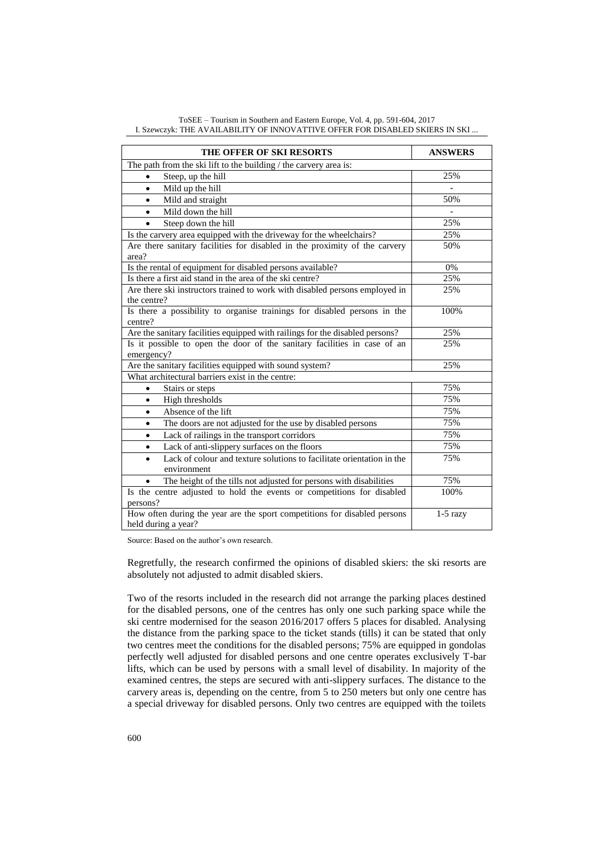| THE OFFER OF SKI RESORTS                                                                         | <b>ANSWERS</b> |  |  |  |  |
|--------------------------------------------------------------------------------------------------|----------------|--|--|--|--|
| The path from the ski lift to the building / the carvery area is:                                |                |  |  |  |  |
| Steep, up the hill<br>$\bullet$                                                                  | 25%            |  |  |  |  |
| Mild up the hill<br>$\bullet$                                                                    |                |  |  |  |  |
| Mild and straight<br>$\bullet$                                                                   | 50%            |  |  |  |  |
| Mild down the hill<br>$\bullet$                                                                  |                |  |  |  |  |
| Steep down the hill<br>$\bullet$                                                                 | 25%            |  |  |  |  |
| Is the carvery area equipped with the driveway for the wheelchairs?                              | 25%            |  |  |  |  |
| Are there sanitary facilities for disabled in the proximity of the carvery<br>area?              | 50%            |  |  |  |  |
| Is the rental of equipment for disabled persons available?                                       | 0%             |  |  |  |  |
| Is there a first aid stand in the area of the ski centre?                                        | 25%            |  |  |  |  |
| Are there ski instructors trained to work with disabled persons employed in<br>the centre?       | 25%            |  |  |  |  |
| Is there a possibility to organise trainings for disabled persons in the<br>centre?              | 100%           |  |  |  |  |
| Are the sanitary facilities equipped with railings for the disabled persons?                     | 25%            |  |  |  |  |
| Is it possible to open the door of the sanitary facilities in case of an<br>emergency?           | 25%            |  |  |  |  |
| Are the sanitary facilities equipped with sound system?                                          | 25%            |  |  |  |  |
| What architectural barriers exist in the centre:                                                 |                |  |  |  |  |
| Stairs or steps<br>$\bullet$                                                                     | 75%            |  |  |  |  |
| High thresholds<br>$\bullet$                                                                     | 75%            |  |  |  |  |
| Absence of the lift<br>$\bullet$                                                                 | 75%            |  |  |  |  |
| The doors are not adjusted for the use by disabled persons<br>٠                                  | 75%            |  |  |  |  |
| Lack of railings in the transport corridors<br>$\bullet$                                         | 75%            |  |  |  |  |
| Lack of anti-slippery surfaces on the floors<br>$\bullet$                                        | 75%            |  |  |  |  |
| Lack of colour and texture solutions to facilitate orientation in the<br>environment             | 75%            |  |  |  |  |
| The height of the tills not adjusted for persons with disabilities                               | 75%            |  |  |  |  |
| Is the centre adjusted to hold the events or competitions for disabled<br>persons?               | 100%           |  |  |  |  |
| How often during the year are the sport competitions for disabled persons<br>held during a year? | $1-5$ razy     |  |  |  |  |

ToSEE – Tourism in Southern and Eastern Europe, Vol. 4, pp. 591-604, 2017 I. Szewczyk: THE AVAILABILITY OF INNOVATTIVE OFFER FOR DISABLED SKIERS IN SKI ...

Source: Based on the author's own research.

Regretfully, the research confirmed the opinions of disabled skiers: the ski resorts are absolutely not adjusted to admit disabled skiers.

Two of the resorts included in the research did not arrange the parking places destined for the disabled persons, one of the centres has only one such parking space while the ski centre modernised for the season 2016/2017 offers 5 places for disabled. Analysing the distance from the parking space to the ticket stands (tills) it can be stated that only two centres meet the conditions for the disabled persons; 75% are equipped in gondolas perfectly well adjusted for disabled persons and one centre operates exclusively T-bar lifts, which can be used by persons with a small level of disability. In majority of the examined centres, the steps are secured with anti-slippery surfaces. The distance to the carvery areas is, depending on the centre, from 5 to 250 meters but only one centre has a special driveway for disabled persons. Only two centres are equipped with the toilets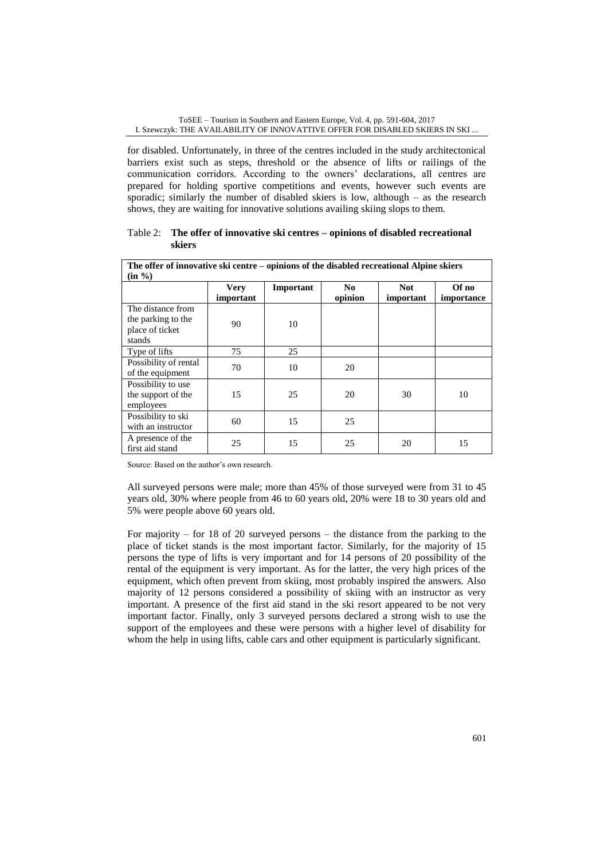for disabled. Unfortunately, in three of the centres included in the study architectonical barriers exist such as steps, threshold or the absence of lifts or railings of the communication corridors. According to the owners' declarations, all centres are prepared for holding sportive competitions and events, however such events are sporadic; similarly the number of disabled skiers is low, although – as the research shows, they are waiting for innovative solutions availing skiing slops to them.

## Table 2: **The offer of innovative ski centres – opinions of disabled recreational skiers**

| The offer of innovative ski centre – opinions of the disabled recreational Alpine skiers<br>$(in \%$ ) |                          |           |                           |                         |                     |  |  |  |
|--------------------------------------------------------------------------------------------------------|--------------------------|-----------|---------------------------|-------------------------|---------------------|--|--|--|
|                                                                                                        | <b>Very</b><br>important | Important | N <sub>0</sub><br>opinion | <b>Not</b><br>important | Of no<br>importance |  |  |  |
| The distance from<br>the parking to the<br>place of ticket<br>stands                                   | 90                       | 10        |                           |                         |                     |  |  |  |
| Type of lifts                                                                                          | 75                       | 25        |                           |                         |                     |  |  |  |
| Possibility of rental<br>of the equipment                                                              | 70                       | 10        | 20                        |                         |                     |  |  |  |
| Possibility to use<br>the support of the<br>employees                                                  | 15                       | 25        | 20                        | 30                      | 10                  |  |  |  |
| Possibility to ski<br>with an instructor                                                               | 60                       | 15        | 25                        |                         |                     |  |  |  |
| A presence of the<br>first aid stand                                                                   | 25                       | 15        | 25                        | 20                      | 15                  |  |  |  |

Source: Based on the author's own research.

All surveyed persons were male; more than 45% of those surveyed were from 31 to 45 years old, 30% where people from 46 to 60 years old, 20% were 18 to 30 years old and 5% were people above 60 years old.

For majority – for 18 of 20 surveyed persons – the distance from the parking to the place of ticket stands is the most important factor. Similarly, for the majority of 15 persons the type of lifts is very important and for 14 persons of 20 possibility of the rental of the equipment is very important. As for the latter, the very high prices of the equipment, which often prevent from skiing, most probably inspired the answers. Also majority of 12 persons considered a possibility of skiing with an instructor as very important. A presence of the first aid stand in the ski resort appeared to be not very important factor. Finally, only 3 surveyed persons declared a strong wish to use the support of the employees and these were persons with a higher level of disability for whom the help in using lifts, cable cars and other equipment is particularly significant.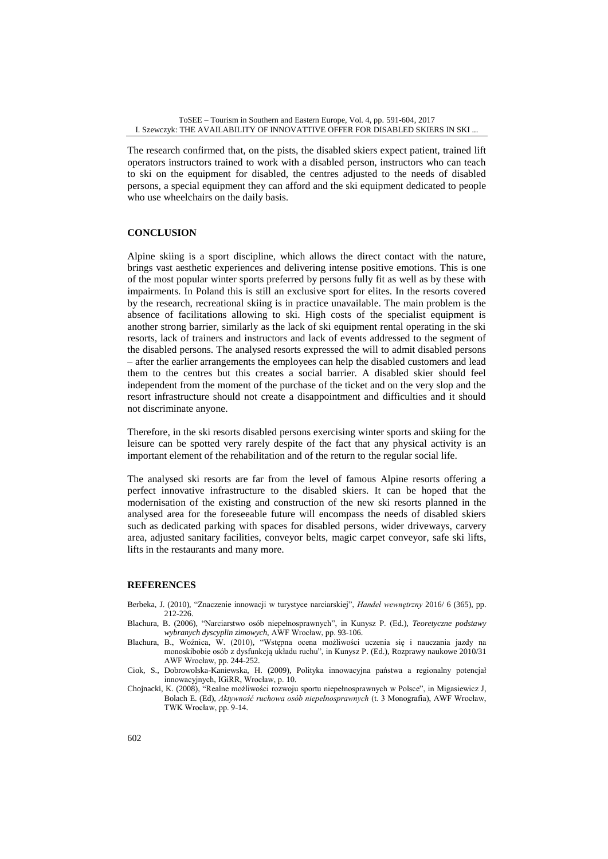The research confirmed that, on the pists, the disabled skiers expect patient, trained lift operators instructors trained to work with a disabled person, instructors who can teach to ski on the equipment for disabled, the centres adjusted to the needs of disabled persons, a special equipment they can afford and the ski equipment dedicated to people who use wheelchairs on the daily basis.

## **CONCLUSION**

Alpine skiing is a sport discipline, which allows the direct contact with the nature, brings vast aesthetic experiences and delivering intense positive emotions. This is one of the most popular winter sports preferred by persons fully fit as well as by these with impairments. In Poland this is still an exclusive sport for elites. In the resorts covered by the research, recreational skiing is in practice unavailable. The main problem is the absence of facilitations allowing to ski. High costs of the specialist equipment is another strong barrier, similarly as the lack of ski equipment rental operating in the ski resorts, lack of trainers and instructors and lack of events addressed to the segment of the disabled persons. The analysed resorts expressed the will to admit disabled persons – after the earlier arrangements the employees can help the disabled customers and lead them to the centres but this creates a social barrier. A disabled skier should feel independent from the moment of the purchase of the ticket and on the very slop and the resort infrastructure should not create a disappointment and difficulties and it should not discriminate anyone.

Therefore, in the ski resorts disabled persons exercising winter sports and skiing for the leisure can be spotted very rarely despite of the fact that any physical activity is an important element of the rehabilitation and of the return to the regular social life.

The analysed ski resorts are far from the level of famous Alpine resorts offering a perfect innovative infrastructure to the disabled skiers. It can be hoped that the modernisation of the existing and construction of the new ski resorts planned in the analysed area for the foreseeable future will encompass the needs of disabled skiers such as dedicated parking with spaces for disabled persons, wider driveways, carvery area, adjusted sanitary facilities, conveyor belts, magic carpet conveyor, safe ski lifts, lifts in the restaurants and many more.

## **REFERENCES**

- Berbeka, J. (2010), "Znaczenie innowacji w turystyce narciarskiej", *Handel wewnętrzny* 2016/ 6 (365), pp. 212-226.
- Blachura, B. (2006), "Narciarstwo osób niepełnosprawnych", in Kunysz P. (Ed.), *Teoretyczne podstawy wybranych dyscyplin zimowych,* AWF Wrocław, pp. 93-106.
- Blachura, B., Woźnica, W. (2010), "Wstępna ocena możliwości uczenia się i nauczania jazdy na monoskibobie osób z dysfunkcją układu ruchu", in Kunysz P. (Ed.), Rozprawy naukowe 2010/31 AWF Wrocław, pp. 244-252.
- Ciok, S., Dobrowolska-Kaniewska, H. (2009), Polityka innowacyjna państwa a regionalny potencjał innowacyjnych, IGiRR, Wrocław, p. 10.
- Chojnacki, K. (2008), "Realne możliwości rozwoju sportu niepełnosprawnych w Polsce", in Migasiewicz J, Bolach E. (Ed), *Aktywność ruchowa osób niepełnosprawnych* (t. 3 Monografia), AWF Wrocław, TWK Wrocław, pp. 9-14.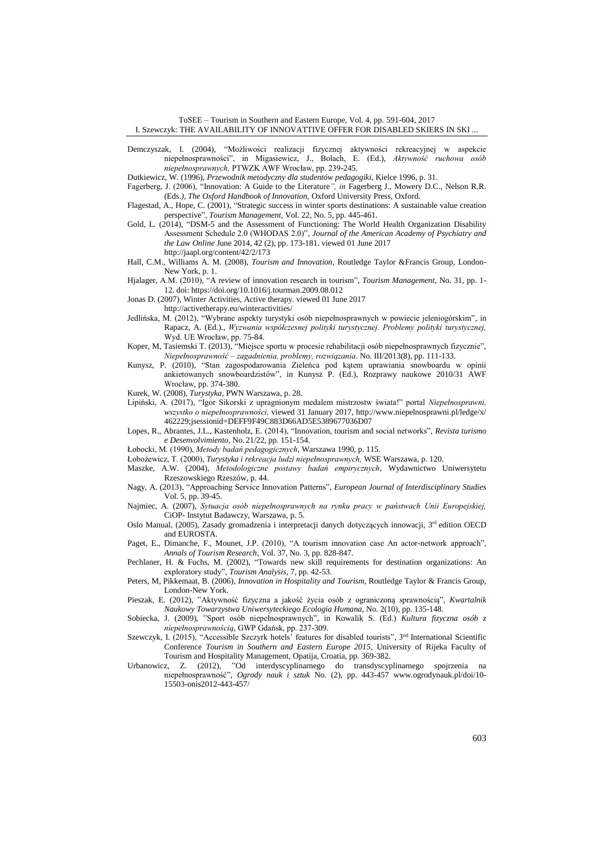ToSEE – Tourism in Southern and Eastern Europe, Vol. 4, pp. 591-604, 2017 I. Szewczyk: THE AVAILABILITY OF INNOVATTIVE OFFER FOR DISABLED SKIERS IN SKI ...

Demczyszak, I. (2004), "Możliwości realizacji fizycznej aktywności rekreacyjnej w aspekcie niepełnosprawności", in Migasiewicz, J., Bolach, E. (Ed.), *Aktywność ruchowa osób niepełnosprawnych,* PTWZK AWF Wrocław, pp. 239-245.

Dutkiewicz, W. (1996), *Przewodnik metodyczny dla studentów pedagogiki*, Kielce 1996, p. 31.

- Fagerberg, J. (2006), "Innovation: A Guide to the Literature*", in* Fagerberg J., Mowery D.C., Nelson R.R.
- (Eds.*), The Oxford Handbook of Innovation,* Oxford University Press, Oxford*.* Flagestad, A., Hope, C. (2001), "Strategic success in winter sports destinations: A sustainable value creation
- perspective", *Tourism Management*, Vol. 22, No. 5, pp. 445-461. Gold, L. (2014), "DSM-5 and the Assessment of Functioning: The World Health Organization Disability Assessment Schedule 2.0 (WHODAS 2.0)", *Journal of the American Academy of Psychiatry and the Law Online* June 2014, 42 (2), pp. 173-181. viewed 01 June 2017 http://jaapl.org/content/42/2/173
- Hall, C.M., Williams A. M. (2008), *Tourism and Innovation,* Routledge Taylor &Francis Group, London-
- New York, p. 1. Hjalager, A.M. (2010), "A review of innovation research in tourism", *Tourism Management*, No. 31, pp. 1- 12. doi: https://doi.org/10.1016/j.tourman.2009.08.012
- Jonas D. (2007), Winter Activities, Active therapy. viewed 01 June 2017
- http://activetherapy.eu/winteractivities/
- Jedlińska, M. (2012), "Wybrane aspekty turystyki osób niepełnosprawnych w powiecie jeleniogórskim"*,* in Rapacz, A. (Ed.)., *Wyzwania współczesnej polityki turystycznej. Problemy polityki turystycznej,*  Wyd. UE Wrocław, pp. 75-84.
- Koper, M, Tasiemski T. (2013), "Miejsce sportu w procesie rehabilitacji osób niepełnosprawnych fizycznie", *Niepełnosprawność – zagadnienia, problemy, rozwiązania*. No. III/2013(8), pp. 111-133.
- Kunysz, P. (2010), "Stan zagospodarowania Zieleńca pod kątem uprawiania snowboardu w opinii ankietowanych snowboardzistów", in Kunysz P. (Ed.), Rozprawy naukowe 2010/31 AWF Wrocław, pp. 374-380.
- Kurek, W. (2008), *Turystyka*, PWN Warszawa, p. 28.
- Lipiński, A. (2017), "Igor Sikorski z upragnionym medalem mistrzostw świata!" portal *Niepełnosprawni, wszystko o niepełnosprawności,* viewed 31 January 2017, [http://www.niepelnosprawni.pl/ledge/x/](http://www.niepelnosprawni.pl/ledge/x/%20462229;jsessionid=DEFF9F49C883D66AD5E5389677036D07)  [462229;jsessionid=DEFF9F49C883D66AD5E5389677036D07](http://www.niepelnosprawni.pl/ledge/x/%20462229;jsessionid=DEFF9F49C883D66AD5E5389677036D07)
- Lopes, R., Abrantes, J.L., Kastenholz, E. (2014), "Innovation, tourism and social networks", *Revista turismo e Desenvolvimiento,* No. 21/22, pp. 151-154.
- Łobocki, M. (1990), *Metody badań pedagogicznych*, Warszawa 1990, p. 115.
- Łobożewicz, T. (2000), *Turystyka i rekreacja ludzi niepełnosprawnych,* WSE Warszawa, p. 120.
- Maszke, A.W. (2004), *Metodologiczne postawy badań empirycznych*, Wydawnictwo Uniwersytetu Rzeszowskiego Rzeszów, p. 44.
- Nagy, A. (2013), "Approaching Service Innovation Patterns", *European Journal of Interdisciplinary Studies*  Vol. 5, pp. 39-45.
- Najmiec, A. (2007), *Sytuacja osób niepełnosprawnych na rynku pracy w państwach Unii Europejskiej,*  CiOP- Instytut Badawczy, Warszawa, p. 5.
- Oslo Manual, (2005), Zasady gromadzenia i interpretacji danych dotyczących innowacji, 3rd edition OECD and EUROSTA.
- Paget, E., Dimanche, F., Mounet, J.P. (2010), "A tourism innovation case An actor-network approach", *Annals of Tourism Research*, Vol. 37, No. 3, pp. 828-847.
- Pechlaner, H. & Fuchs, M. (2002), "Towards new skill requirements for destination organizations: An exploratory study", *Tourism Analysis*, 7, pp. 42-53.
- Peters, M, Pikkemaat, B. (2006)*, Innovation in Hospitality and Tourism,* Routledge Taylor & Francis Group, London-New York.
- Pieszak, E. (2012), "Aktywność fizyczna a jakość życia osób z ograniczoną sprawnością", *Kwartalnik Naukowy Towarzystwa Uniwersyteckiego Ecologia Humana,* No. 2(10), pp. 135-148.
- Sobiecka, J. (2009), "Sport osób niepełnosprawnych", in Kowalik S. (Ed.) *Kultura fizyczna osób z niepełnosprawnością,* GWP Gdańsk, pp. 237-309.
- Szewczyk, I. (2015), "Accessible Szczyrk hotels' features for disabled tourists", 3nd International Scientific Conference *Tourism in Southern and Eastern Europe 2015*, University of Rijeka Faculty of Tourism and Hospitality Management, Opatija, Croatia, pp. 369-382.
- Urbanowicz, Z. (2012), "Od interdyscyplinarnego do transdyscyplinarnego spojrzenia na niepełnosprawność", *Ogrody nauk i sztuk* No. (2), pp. 443-457 [www.ogrodynauk.pl/doi/10-](http://www.ogrodynauk.pl/doi/10-15503-onis2012-443-457/) [15503-onis2012-443-457/](http://www.ogrodynauk.pl/doi/10-15503-onis2012-443-457/)